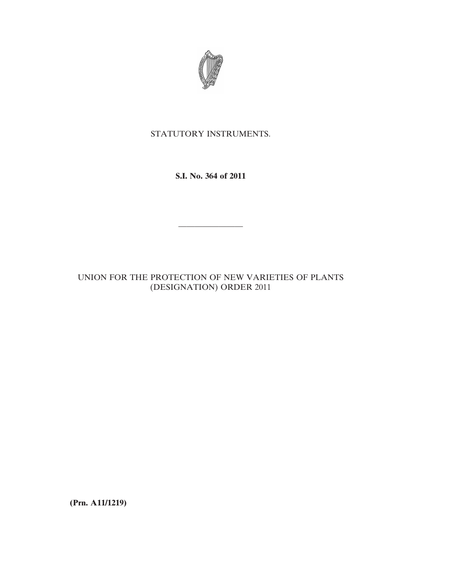

## STATUTORY INSTRUMENTS.

**S.I. No. 364 of 2011**

————————

## UNION FOR THE PROTECTION OF NEW VARIETIES OF PLANTS (DESIGNATION) ORDER 2011

**(Prn. A11/1219)**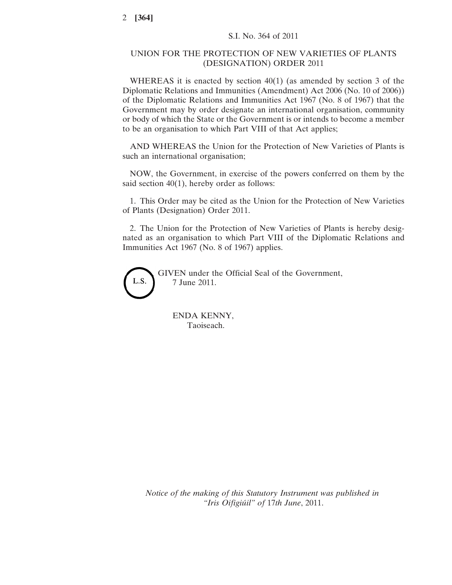## UNION FOR THE PROTECTION OF NEW VARIETIES OF PLANTS (DESIGNATION) ORDER 2011

WHEREAS it is enacted by section 40(1) (as amended by section 3 of the Diplomatic Relations and Immunities (Amendment) Act 2006 (No. 10 of 2006)) of the Diplomatic Relations and Immunities Act 1967 (No. 8 of 1967) that the Government may by order designate an international organisation, community or body of which the State or the Government is or intends to become a member to be an organisation to which Part VIII of that Act applies;

AND WHEREAS the Union for the Protection of New Varieties of Plants is such an international organisation;

NOW, the Government, in exercise of the powers conferred on them by the said section 40(1), hereby order as follows:

1. This Order may be cited as the Union for the Protection of New Varieties of Plants (Designation) Order 2011.

2. The Union for the Protection of New Varieties of Plants is hereby designated as an organisation to which Part VIII of the Diplomatic Relations and Immunities Act 1967 (No. 8 of 1967) applies.



GIVEN under the Official Seal of the Government, 7 June 2011.

ENDA KENNY, Taoiseach.

*Notice of the making of this Statutory Instrument was published in "Iris Oifigiúil" of* 17*th June*, 2011.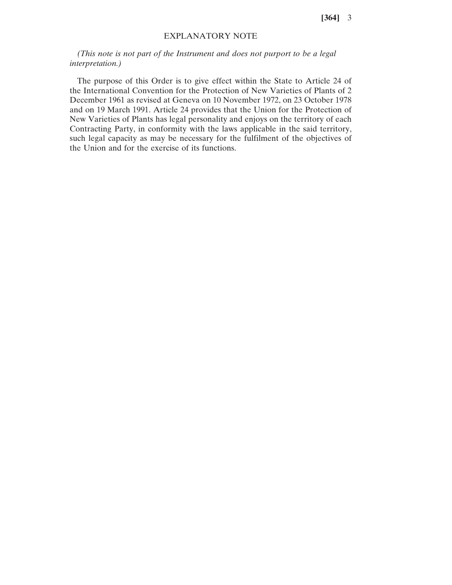**[364]** 3

## EXPLANATORY NOTE

*(This note is not part of the Instrument and does not purport to be a legal interpretation.)*

The purpose of this Order is to give effect within the State to Article 24 of the International Convention for the Protection of New Varieties of Plants of 2 December 1961 as revised at Geneva on 10 November 1972, on 23 October 1978 and on 19 March 1991. Article 24 provides that the Union for the Protection of New Varieties of Plants has legal personality and enjoys on the territory of each Contracting Party, in conformity with the laws applicable in the said territory, such legal capacity as may be necessary for the fulfilment of the objectives of the Union and for the exercise of its functions.